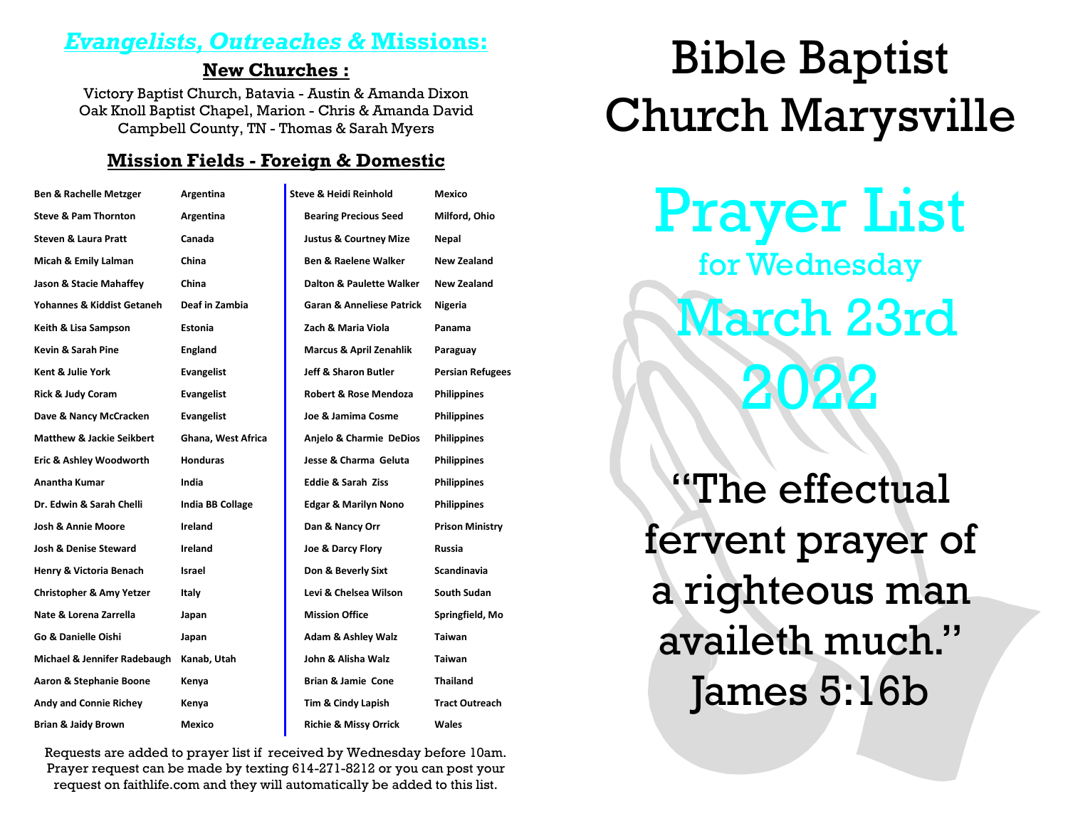### *Evangelists, Outreaches &* **Missions:**

#### **New Churches :**

Victory Baptist Church, Batavia - Austin & Amanda Dixon Oak Knoll Baptist Chapel, Marion - Chris & Amanda David Campbell County, TN - Thomas & Sarah Myers

#### **Mission Fields - Foreign & Domestic**

| <b>Ben &amp; Rachelle Metzger</b>    | Argentina               | Steve & Heidi Reinhold               | Mexico                  |
|--------------------------------------|-------------------------|--------------------------------------|-------------------------|
| <b>Steve &amp; Pam Thornton</b>      | Argentina               | <b>Bearing Precious Seed</b>         | Milford, Ohio           |
| <b>Steven &amp; Laura Pratt</b>      | Canada                  | <b>Justus &amp; Courtney Mize</b>    | Nepal                   |
| Micah & Emily Lalman                 | China                   | <b>Ben &amp; Raelene Walker</b>      | New Zealand             |
| Jason & Stacie Mahaffey              | China                   | Dalton & Paulette Walker             | New Zealand             |
| Yohannes & Kiddist Getaneh           | Deaf in Zambia          | <b>Garan &amp; Anneliese Patrick</b> | Nigeria                 |
| Keith & Lisa Sampson                 | Estonia                 | Zach & Maria Viola                   | Panama                  |
| Kevin & Sarah Pine                   | <b>England</b>          | <b>Marcus &amp; April Zenahlik</b>   | Paraguay                |
| Kent & Julie York                    | <b>Evangelist</b>       | Jeff & Sharon Butler                 | <b>Persian Refugees</b> |
| Rick & Judy Coram                    | <b>Evangelist</b>       | <b>Robert &amp; Rose Mendoza</b>     | <b>Philippines</b>      |
| Dave & Nancy McCracken               | Evangelist              | Joe & Jamima Cosme                   | <b>Philippines</b>      |
| <b>Matthew &amp; Jackie Seikbert</b> | Ghana, West Africa      | Anjelo & Charmie DeDios              | <b>Philippines</b>      |
| Eric & Ashley Woodworth              | <b>Honduras</b>         | Jesse & Charma Geluta                | <b>Philippines</b>      |
| <b>Anantha Kumar</b>                 | India                   | <b>Eddie &amp; Sarah Ziss</b>        | <b>Philippines</b>      |
| Dr. Edwin & Sarah Chelli             | <b>India BB Collage</b> | <b>Edgar &amp; Marilyn Nono</b>      | <b>Philippines</b>      |
| <b>Josh &amp; Annie Moore</b>        | Ireland                 | Dan & Nancy Orr                      | <b>Prison Ministry</b>  |
| <b>Josh &amp; Denise Steward</b>     | Ireland                 | Joe & Darcy Flory                    | Russia                  |
| Henry & Victoria Benach              | Israel                  | Don & Beverly Sixt                   | Scandinavia             |
| <b>Christopher &amp; Amy Yetzer</b>  | Italy                   | Levi & Chelsea Wilson                | South Sudan             |
| Nate & Lorena Zarrella               | Japan                   | <b>Mission Office</b>                | Springfield, Mo         |
| Go & Danielle Oishi                  | Japan                   | <b>Adam &amp; Ashley Walz</b>        | Taiwan                  |
| Michael & Jennifer Radebaugh         | Kanab, Utah             | John & Alisha Walz                   | <b>Taiwan</b>           |
| Aaron & Stephanie Boone              | Kenya                   | Brian & Jamie Cone                   | <b>Thailand</b>         |
| <b>Andy and Connie Richey</b>        | Kenya                   | Tim & Cindy Lapish                   | <b>Tract Outreach</b>   |
| <b>Brian &amp; Jaidy Brown</b>       | Mexico                  | <b>Richie &amp; Missy Orrick</b>     | Wales                   |

Requests are added to prayer list if received by Wednesday before 10am. Prayer request can be made by texting 614-271-8212 or you can post your request on faithlife.com and they will automatically be added to this list.

# Bible Baptist Church Marysville

Prayer List for Wednesday March 23rd 2022

"The effectual fervent prayer of a righteous man availeth much." James 5:16b